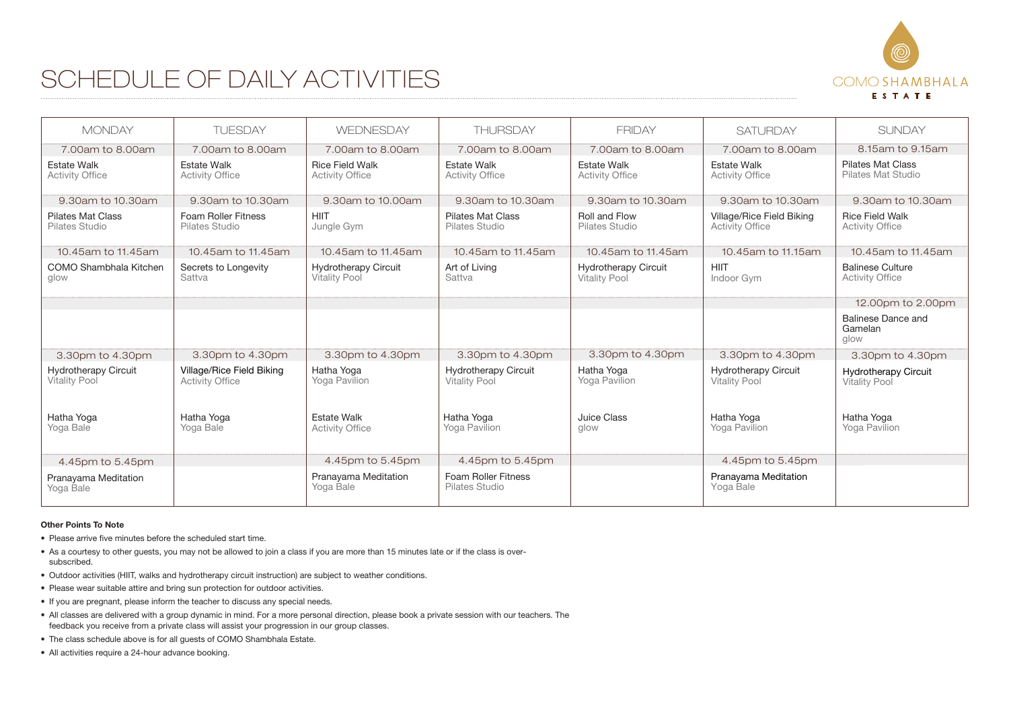## COMO SHAMBHALA ESTATE

## SCHEDULE OF DAILY ACTIVITIES

| <b>MONDAY</b>                                       | <b>TUFSDAY</b>                                      | <b>WEDNESDAY</b>                                    | <b>THURSDAY</b>                                     | <b>FRIDAY</b>                                       | <b>SATURDAY</b>                                     | <b>SUNDAY</b>                                       |
|-----------------------------------------------------|-----------------------------------------------------|-----------------------------------------------------|-----------------------------------------------------|-----------------------------------------------------|-----------------------------------------------------|-----------------------------------------------------|
| 7.00am to 8.00am                                    | 7.00am to 8.00am                                    | 7,00am to 8,00am                                    | 7.00am to 8.00am                                    | 7.00am to 8.00am                                    | 7.00am to 8.00am                                    | 8.15am to 9.15am                                    |
| <b>Estate Walk</b><br><b>Activity Office</b>        | <b>Estate Walk</b><br><b>Activity Office</b>        | <b>Rice Field Walk</b><br><b>Activity Office</b>    | <b>Estate Walk</b><br><b>Activity Office</b>        | <b>Estate Walk</b><br><b>Activity Office</b>        | <b>Estate Walk</b><br><b>Activity Office</b>        | <b>Pilates Mat Class</b><br>Pilates Mat Studio      |
| 9.30am to 10.30am                                   | 9.30am to 10.30am                                   | 9.30am to 10.00am                                   | 9.30am to 10.30am                                   | 9.30am to 10.30am                                   | 9.30am to 10.30am                                   | 9.30am to 10.30am                                   |
| <b>Pilates Mat Class</b><br>Pilates Studio          | <b>Foam Roller Fitness</b><br>Pilates Studio        | <b>HIIT</b><br>Jungle Gym                           | Pilates Mat Class<br>Pilates Studio                 | Roll and Flow<br>Pilates Studio                     | Village/Rice Field Biking<br><b>Activity Office</b> | <b>Rice Field Walk</b><br><b>Activity Office</b>    |
| 10.45am to 11.45am                                  | 10.45am to 11.45am                                  | 10.45am to 11.45am                                  | 10.45am to 11.45am                                  | 10.45am to 11.45am                                  | 10.45am to 11.15am                                  | 10.45am to 11.45am                                  |
| COMO Shambhala Kitchen<br>glow                      | Secrets to Longevity<br>Sattva                      | <b>Hydrotherapy Circuit</b><br><b>Vitality Pool</b> | Art of Living<br>Sattva                             | <b>Hydrotherapy Circuit</b><br><b>Vitality Pool</b> | <b>HIIT</b><br>Indoor Gym                           | <b>Balinese Culture</b><br><b>Activity Office</b>   |
|                                                     |                                                     |                                                     |                                                     |                                                     |                                                     | 12.00pm to 2.00pm                                   |
|                                                     |                                                     |                                                     |                                                     |                                                     |                                                     | Balinese Dance and<br>Gamelan<br>glow               |
| 3.30pm to 4.30pm                                    | 3.30pm to 4.30pm                                    | 3.30pm to 4.30pm                                    | 3.30pm to 4.30pm                                    | 3.30pm to 4.30pm                                    | 3.30pm to 4.30pm                                    | 3.30pm to 4.30pm                                    |
| <b>Hydrotherapy Circuit</b><br><b>Vitality Pool</b> | Village/Rice Field Biking<br><b>Activity Office</b> | Hatha Yoga<br>Yoga Pavilion                         | <b>Hydrotherapy Circuit</b><br><b>Vitality Pool</b> | Hatha Yoga<br>Yoga Pavilion                         | <b>Hydrotherapy Circuit</b><br><b>Vitality Pool</b> | <b>Hydrotherapy Circuit</b><br><b>Vitality Pool</b> |
| Hatha Yoga<br>Yoga Bale                             | Hatha Yoga<br>Yoga Bale                             | <b>Estate Walk</b><br><b>Activity Office</b>        | Hatha Yoga<br>Yoga Pavilion                         | Juice Class<br>glow                                 | Hatha Yoga<br>Yoga Pavilion                         | Hatha Yoga<br>Yoga Pavilion                         |
| 4.45pm to 5.45pm                                    |                                                     | 4.45pm to 5.45pm                                    | 4.45pm to 5.45pm                                    |                                                     | 4.45pm to 5.45pm                                    |                                                     |
| Pranayama Meditation<br>Yoga Bale                   |                                                     | Pranayama Meditation<br>Yoga Bale                   | Foam Roller Fitness<br>Pilates Studio               |                                                     | Pranayama Meditation<br>Yoga Bale                   |                                                     |

## **Other Points To Note**

- Please arrive five minutes before the scheduled start time.
- . As a courtesy to other guests, you may not be allowed to join a class if you are more than 15 minutes late or if the class is oversubscribed.
- · Outdoor activities (HIIT, walks and hydrotherapy circuit instruction) are subject to weather conditions.
- Please wear suitable attire and bring sun protection for outdoor activities.
- If you are pregnant, please inform the teacher to discuss any special needs.
- . All classes are delivered with a group dynamic in mind. For a more personal direction, please book a private session with our teachers. The feedback you receive from a private class will assist your progression in our group classes.
- The class schedule above is for all guests of COMO Shambhala Estate.
- All activities require a 24-hour advance booking.